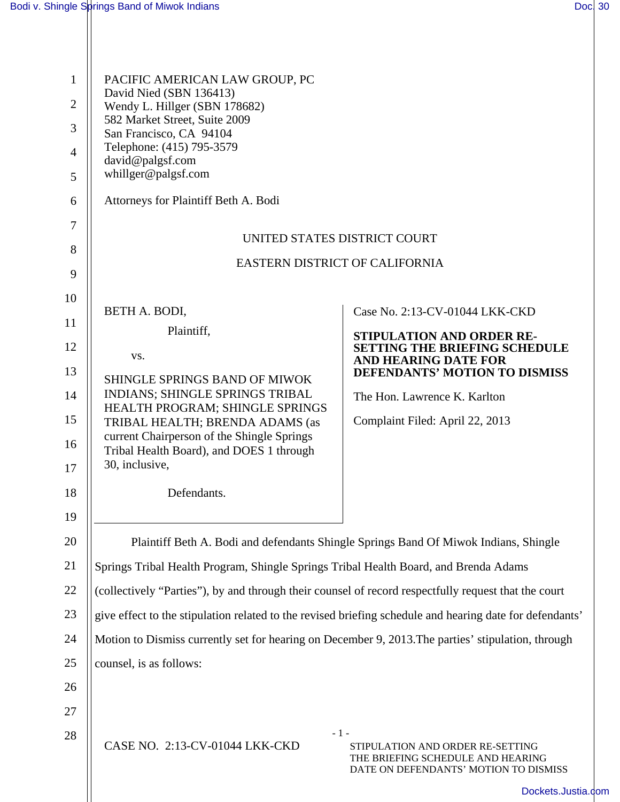| $\mathbf{1}$   | PACIFIC AMERICAN LAW GROUP, PC                                                                           |                                                                                                                |  |  |  |
|----------------|----------------------------------------------------------------------------------------------------------|----------------------------------------------------------------------------------------------------------------|--|--|--|
| $\overline{2}$ | David Nied (SBN 136413)<br>Wendy L. Hillger (SBN 178682)                                                 |                                                                                                                |  |  |  |
| 3              | 582 Market Street, Suite 2009<br>San Francisco, CA 94104                                                 |                                                                                                                |  |  |  |
| 4              | Telephone: (415) 795-3579                                                                                |                                                                                                                |  |  |  |
| 5              | david@palgsf.com<br>whillger@palgsf.com                                                                  |                                                                                                                |  |  |  |
| 6              | Attorneys for Plaintiff Beth A. Bodi                                                                     |                                                                                                                |  |  |  |
| 7              |                                                                                                          |                                                                                                                |  |  |  |
| 8              | UNITED STATES DISTRICT COURT                                                                             |                                                                                                                |  |  |  |
| 9              | EASTERN DISTRICT OF CALIFORNIA                                                                           |                                                                                                                |  |  |  |
| 10             |                                                                                                          |                                                                                                                |  |  |  |
| 11             | BETH A. BODI,                                                                                            | Case No. 2:13-CV-01044 LKK-CKD                                                                                 |  |  |  |
| 12             | Plaintiff,<br>VS.                                                                                        | STIPULATION AND ORDER RE-<br><b>SETTING THE BRIEFING SCHEDULE</b>                                              |  |  |  |
| 13             | SHINGLE SPRINGS BAND OF MIWOK                                                                            | <b>AND HEARING DATE FOR</b><br><b>DEFENDANTS' MOTION TO DISMISS</b>                                            |  |  |  |
| 14             | INDIANS; SHINGLE SPRINGS TRIBAL                                                                          | The Hon. Lawrence K. Karlton                                                                                   |  |  |  |
| 15             | HEALTH PROGRAM; SHINGLE SPRINGS<br>TRIBAL HEALTH; BRENDA ADAMS (as                                       | Complaint Filed: April 22, 2013                                                                                |  |  |  |
| 16             | current Chairperson of the Shingle Springs<br>Tribal Health Board), and DOES 1 through                   |                                                                                                                |  |  |  |
| 17             | 30, inclusive,                                                                                           |                                                                                                                |  |  |  |
| 18             | Defendants.                                                                                              |                                                                                                                |  |  |  |
| 19             |                                                                                                          |                                                                                                                |  |  |  |
| 20             | Plaintiff Beth A. Bodi and defendants Shingle Springs Band Of Miwok Indians, Shingle                     |                                                                                                                |  |  |  |
| 21             | Springs Tribal Health Program, Shingle Springs Tribal Health Board, and Brenda Adams                     |                                                                                                                |  |  |  |
| 22             | (collectively "Parties"), by and through their counsel of record respectfully request that the court     |                                                                                                                |  |  |  |
| 23             | give effect to the stipulation related to the revised briefing schedule and hearing date for defendants' |                                                                                                                |  |  |  |
| 24             | Motion to Dismiss currently set for hearing on December 9, 2013. The parties' stipulation, through       |                                                                                                                |  |  |  |
| 25             | counsel, is as follows:                                                                                  |                                                                                                                |  |  |  |
| 26             |                                                                                                          |                                                                                                                |  |  |  |
| 27             |                                                                                                          |                                                                                                                |  |  |  |
| 28             | $-1-$<br>CASE NO. 2:13-CV-01044 LKK-CKD                                                                  | STIPULATION AND ORDER RE-SETTING<br>THE BRIEFING SCHEDULE AND HEARING<br>DATE ON DEFENDANTS' MOTION TO DISMISS |  |  |  |
|                |                                                                                                          | Dockets.Justia.                                                                                                |  |  |  |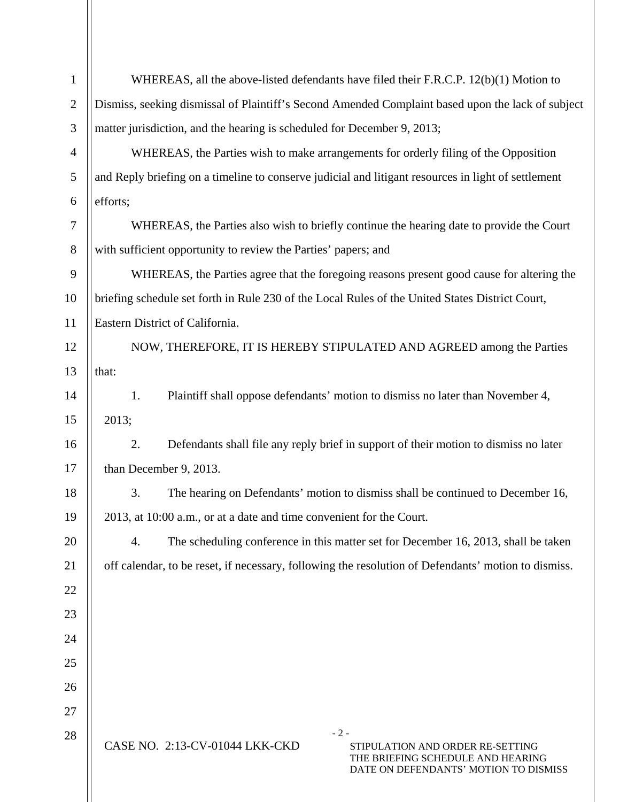| $\mathbf{1}$   | WHEREAS, all the above-listed defendants have filed their F.R.C.P. 12(b)(1) Motion to                                                                     |  |  |  |
|----------------|-----------------------------------------------------------------------------------------------------------------------------------------------------------|--|--|--|
| $\sqrt{2}$     | Dismiss, seeking dismissal of Plaintiff's Second Amended Complaint based upon the lack of subject                                                         |  |  |  |
| $\mathfrak{Z}$ | matter jurisdiction, and the hearing is scheduled for December 9, 2013;                                                                                   |  |  |  |
| $\overline{4}$ | WHEREAS, the Parties wish to make arrangements for orderly filing of the Opposition                                                                       |  |  |  |
| 5              | and Reply briefing on a timeline to conserve judicial and litigant resources in light of settlement                                                       |  |  |  |
| 6              | efforts;                                                                                                                                                  |  |  |  |
| 7              | WHEREAS, the Parties also wish to briefly continue the hearing date to provide the Court                                                                  |  |  |  |
| $8\,$          | with sufficient opportunity to review the Parties' papers; and                                                                                            |  |  |  |
| 9              | WHEREAS, the Parties agree that the foregoing reasons present good cause for altering the                                                                 |  |  |  |
| 10             | briefing schedule set forth in Rule 230 of the Local Rules of the United States District Court,                                                           |  |  |  |
| 11             | Eastern District of California.                                                                                                                           |  |  |  |
| 12             | NOW, THEREFORE, IT IS HEREBY STIPULATED AND AGREED among the Parties                                                                                      |  |  |  |
| 13             | that:                                                                                                                                                     |  |  |  |
| 14             | Plaintiff shall oppose defendants' motion to dismiss no later than November 4,<br>1.                                                                      |  |  |  |
| 15             | 2013;                                                                                                                                                     |  |  |  |
| 16             | Defendants shall file any reply brief in support of their motion to dismiss no later<br>2.                                                                |  |  |  |
| 17             | than December 9, 2013.                                                                                                                                    |  |  |  |
| 18             | The hearing on Defendants' motion to dismiss shall be continued to December 16,<br>3.                                                                     |  |  |  |
| 19             | 2013, at 10:00 a.m., or at a date and time convenient for the Court.                                                                                      |  |  |  |
| 20             | The scheduling conference in this matter set for December 16, 2013, shall be taken<br>4.                                                                  |  |  |  |
| 21             | off calendar, to be reset, if necessary, following the resolution of Defendants' motion to dismiss.                                                       |  |  |  |
| 22             |                                                                                                                                                           |  |  |  |
| 23             |                                                                                                                                                           |  |  |  |
| 24             |                                                                                                                                                           |  |  |  |
| 25             |                                                                                                                                                           |  |  |  |
| 26             |                                                                                                                                                           |  |  |  |
| 27             |                                                                                                                                                           |  |  |  |
| 28             | $-2-$<br>CASE NO. 2:13-CV-01044 LKK-CKD<br>STIPULATION AND ORDER RE-SETTING<br>THE BRIEFING SCHEDULE AND HEARING<br>DATE ON DEFENDANTS' MOTION TO DISMISS |  |  |  |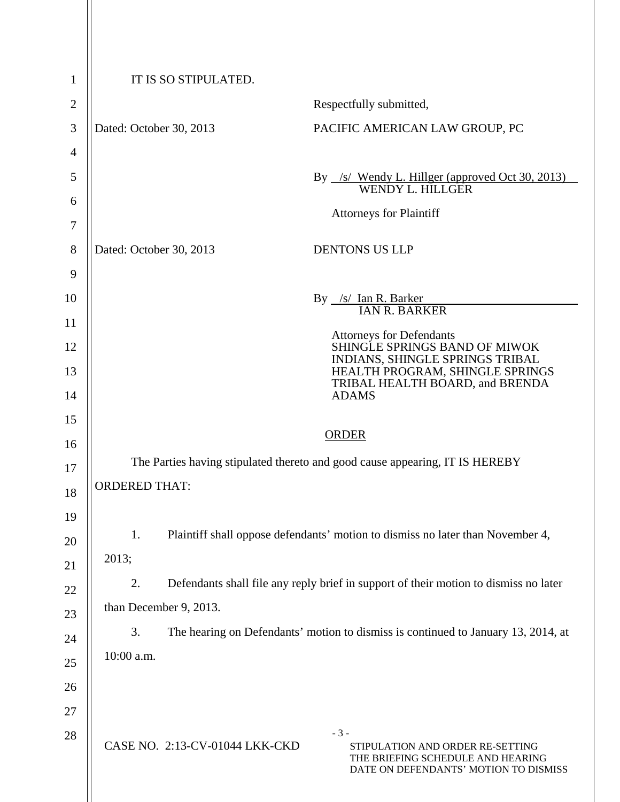| 1              | IT IS SO STIPULATED.                                                                       |                                |                                                                                                                |  |
|----------------|--------------------------------------------------------------------------------------------|--------------------------------|----------------------------------------------------------------------------------------------------------------|--|
| $\overline{2}$ |                                                                                            |                                | Respectfully submitted,                                                                                        |  |
| 3              | Dated: October 30, 2013                                                                    |                                | PACIFIC AMERICAN LAW GROUP, PC                                                                                 |  |
| 4              |                                                                                            |                                |                                                                                                                |  |
| 5              |                                                                                            |                                | By /s/ Wendy L. Hillger (approved Oct 30, 2013)<br>WENDY L. HILLGER                                            |  |
| 6              |                                                                                            |                                | <b>Attorneys for Plaintiff</b>                                                                                 |  |
| 7              |                                                                                            |                                |                                                                                                                |  |
| 8              | Dated: October 30, 2013                                                                    |                                | <b>DENTONS US LLP</b>                                                                                          |  |
| 9              |                                                                                            |                                |                                                                                                                |  |
| 10             |                                                                                            |                                | By /s/ Ian R. Barker<br>IAN R. BARKER                                                                          |  |
| 11             |                                                                                            |                                | <b>Attorneys for Defendants</b>                                                                                |  |
| 12             |                                                                                            |                                | SHINGLE SPRINGS BAND OF MIWOK<br>INDIANS, SHINGLE SPRINGS TRIBAL                                               |  |
| 13             |                                                                                            |                                | HEALTH PROGRAM, SHINGLE SPRINGS<br>TRIBAL HEALTH BOARD, and BRENDA                                             |  |
| 14             | <b>ADAMS</b>                                                                               |                                |                                                                                                                |  |
| 15             | <b>ORDER</b>                                                                               |                                |                                                                                                                |  |
| 16             | The Parties having stipulated thereto and good cause appearing, IT IS HEREBY               |                                |                                                                                                                |  |
| 17             | <b>ORDERED THAT:</b>                                                                       |                                |                                                                                                                |  |
| 18             |                                                                                            |                                |                                                                                                                |  |
| 19             | 1.                                                                                         |                                | Plaintiff shall oppose defendants' motion to dismiss no later than November 4,                                 |  |
| 20             | 2013;                                                                                      |                                |                                                                                                                |  |
| 21             | 2.<br>Defendants shall file any reply brief in support of their motion to dismiss no later |                                |                                                                                                                |  |
| 22             | than December 9, 2013.                                                                     |                                |                                                                                                                |  |
| 23             | The hearing on Defendants' motion to dismiss is continued to January 13, 2014, at<br>3.    |                                |                                                                                                                |  |
| 24             | 10:00 a.m.                                                                                 |                                |                                                                                                                |  |
| 25             |                                                                                            |                                |                                                                                                                |  |
| 26<br>27       |                                                                                            |                                |                                                                                                                |  |
| 28             |                                                                                            |                                | $-3-$                                                                                                          |  |
|                |                                                                                            | CASE NO. 2:13-CV-01044 LKK-CKD | STIPULATION AND ORDER RE-SETTING<br>THE BRIEFING SCHEDULE AND HEARING<br>DATE ON DEFENDANTS' MOTION TO DISMISS |  |